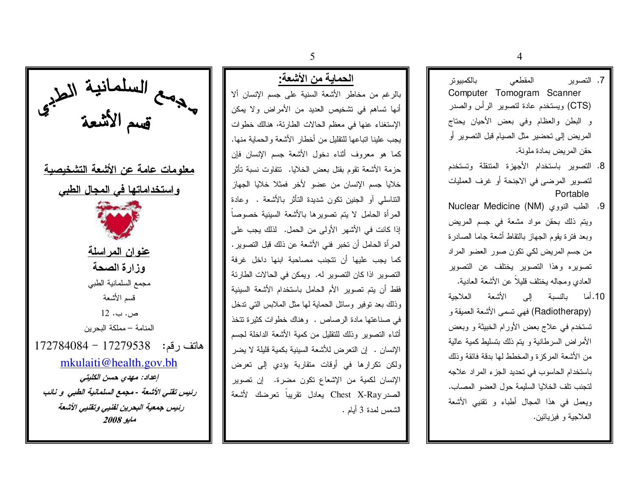$\overline{4}$ 

7. التصوير بالكمبيوتر المقطعي Computer Tomogram Scanner (CTS) ويستخدم عادة لتصوير الرأس والصدر و البطن والعظام وفي بعض الأحيان يحتاج المريض إلى تحضير مثل الصيام قبل التصوير أو حقن المريض بمادة ملونة.

- 8. التصوير باستخدام الأجهزة المنتقلة وتستخدم لتصوير المرضى في الاجنحة أو غرف العمليات Portable
- 9. الطب النووي (NM) Nuclear Medicine ويتم ذلك بحقن مواد مشعة في جسم المريض وبعد فترة بقوم الجهاز بالنقاط أشعة جاما الصادرة من جسم المريض لكي نكون صور العضو المر اد تصويره وهذا التصوير يختلف عن التصوير العادي ومجاله بختلف قلبلاً عن الأشعة العادبة.
- 10.أما بالنسبة الى الأشعة العلاجبة (Radiotherapy) فهي نسمى الأشعة العميقة و تستخدم في علاج بعض الأورام الخبيثة و وبعض الأمراض السرطانية و يتم ذلك بتسليط كمية عالية من الأشعة المركزة والمخطط لها بدقة فائقة وذلك باستخدام الحاسوب في تحديد الجزء المراد علاجه لتجنب نلف الخلايا السليمة حول العضو المصاب. ويعمل في هذا المجال أطباء و نقنيي الأشعة العلاجية و فيزيائين.

بالرغم من مخاطر الأشعة السنية على جسم الإنسان ألا أنها تساهم في نشخيص العديد من الأمراض ولا يمكن الإستغناء عنها في معظم الحالات الطارئة، هنالك خطوات بجب علبنا اتباعها للتقلبل من أخطار الأشعة والحمابة منها. كما هو معروف أثناء دخول الأشعة جسم الإنسان فإن حزمة الأشعة نقوم بقتل بعض الخلايا. نتفاوت نسبة تأثر

خلايا جسم الإنسان من عضو لأخر فمثلا خلايا الجهاز النتاسلي أو الجنين نكون شديدة التأثر بالأشعة . وعادة المرأة الحامل لا يتم تصويرها بالأشعة السينية خصوصاً إذا كانت في الأشهر الأولى من الحمل. لذلك بجب على المرأة الحامل أن تخبر فني الأشعة عن ذلك قبل التصوير . كما يجب عليها أن تتجنب مصاحبة ابنها داخل غرفة النصوير اذا كان النصوير له. ويمكن في الحالات الطارئة فقط أن يتم تصوير الأم الحامل باستخدام الأشعة السينية وذلك بعد نوفير وسائل الحماية لمها مثل الملابس التي ندخل في صناعتها مادة الرصاص . وهناك خطوات كثيرة تتخذ أثناء التصوير وذلك للتقليل من كمية الأشعة الداخلة لجسم الإنسان . إن التعرض للأشعة السينية بكمية قليلة لا يضر ولكن نكرارها في أوقات متقاربة بؤدى إلى تعرض الإنسان لكمية من الإشعاع نكون مضرة. إن نصوير الصدر Chest X-Ray بعادل نقربياً تعرضك الأشعة الشمس لمدة 3 أبام .



5

الحماية من الأشعة: